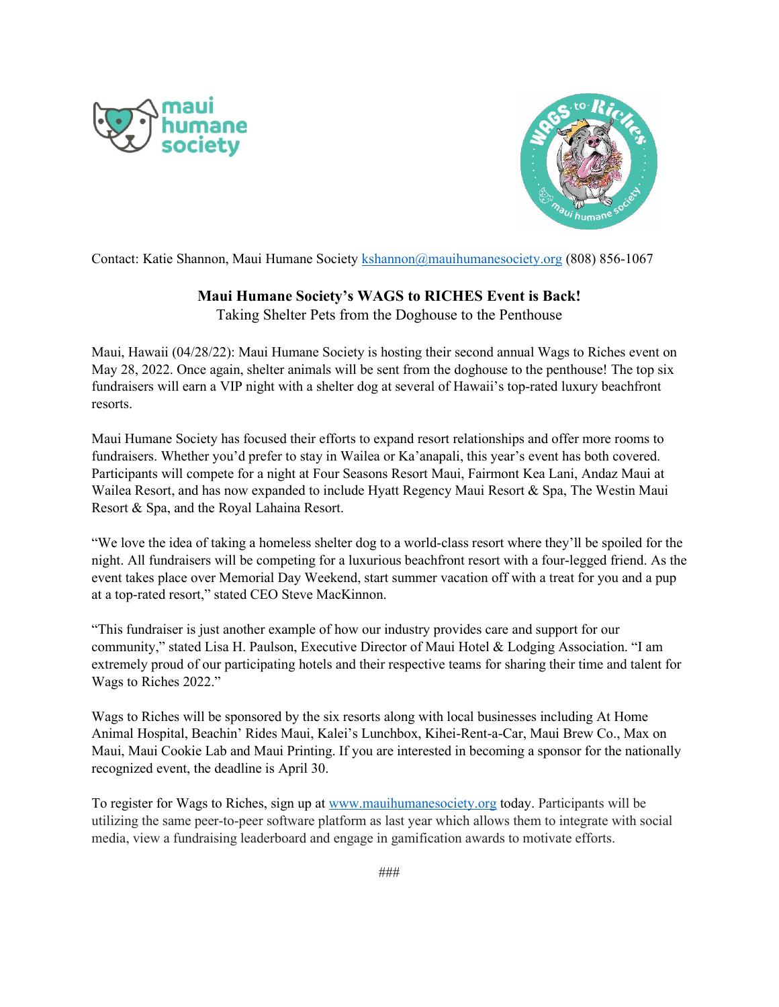



Contact: Katie Shannon, Maui Humane Society [kshannon@mauihumanesociety.org](mailto:kshannon@mauihumanesociety.org) (808) 856-1067

## **Maui Humane Society's WAGS to RICHES Event is Back!**

Taking Shelter Pets from the Doghouse to the Penthouse

Maui, Hawaii (04/28/22): Maui Humane Society is hosting their second annual Wags to Riches event on May 28, 2022. Once again, shelter animals will be sent from the doghouse to the penthouse! The top six fundraisers will earn a VIP night with a shelter dog at several of Hawaii's top-rated luxury beachfront resorts.

Maui Humane Society has focused their efforts to expand resort relationships and offer more rooms to fundraisers. Whether you'd prefer to stay in Wailea or Ka'anapali, this year's event has both covered. Participants will compete for a night at Four Seasons Resort Maui, Fairmont Kea Lani, Andaz Maui at Wailea Resort, and has now expanded to include Hyatt Regency Maui Resort & Spa, The Westin Maui Resort & Spa, and the Royal Lahaina Resort.

"We love the idea of taking a homeless shelter dog to a world-class resort where they'll be spoiled for the night. All fundraisers will be competing for a luxurious beachfront resort with a four-legged friend. As the event takes place over Memorial Day Weekend, start summer vacation off with a treat for you and a pup at a top-rated resort," stated CEO Steve MacKinnon.

"This fundraiser is just another example of how our industry provides care and support for our community," stated Lisa H. Paulson, Executive Director of Maui Hotel & Lodging Association. "I am extremely proud of our participating hotels and their respective teams for sharing their time and talent for Wags to Riches 2022."

Wags to Riches will be sponsored by the six resorts along with local businesses including At Home Animal Hospital, Beachin' Rides Maui, Kalei's Lunchbox, Kihei-Rent-a-Car, Maui Brew Co., Max on Maui, Maui Cookie Lab and Maui Printing. If you are interested in becoming a sponsor for the nationally recognized event, the deadline is April 30.

To register for Wags to Riches, sign up at [www.mauihumanesociety.org](http://www.mauihumanesociety.org/) today. Participants will be utilizing the same peer-to-peer software platform as last year which allows them to integrate with social media, view a fundraising leaderboard and engage in gamification awards to motivate efforts.